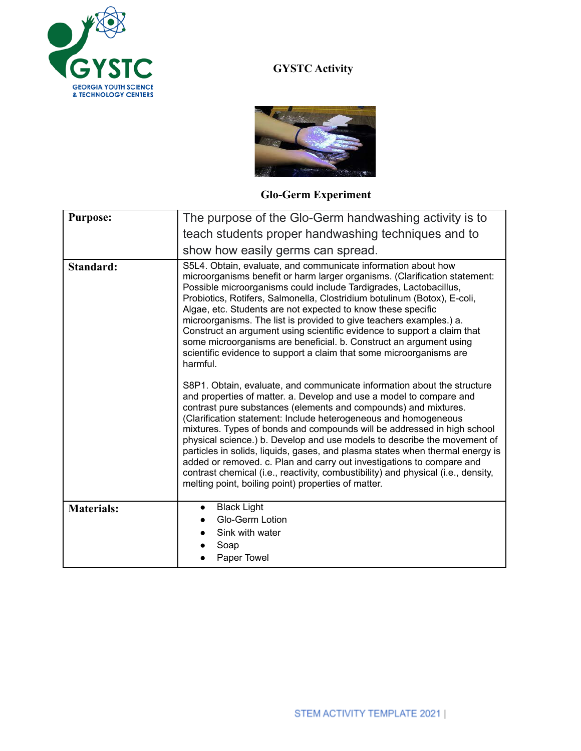

## **GYSTC Activity**



## **Glo-Germ Experiment**

| <b>Purpose:</b>   | The purpose of the Glo-Germ handwashing activity is to                                                                                                                                                                                                                                                                                                                                                                                                                                                                                                                                                                                                                                                                                            |
|-------------------|---------------------------------------------------------------------------------------------------------------------------------------------------------------------------------------------------------------------------------------------------------------------------------------------------------------------------------------------------------------------------------------------------------------------------------------------------------------------------------------------------------------------------------------------------------------------------------------------------------------------------------------------------------------------------------------------------------------------------------------------------|
|                   | teach students proper handwashing techniques and to                                                                                                                                                                                                                                                                                                                                                                                                                                                                                                                                                                                                                                                                                               |
|                   | show how easily germs can spread.                                                                                                                                                                                                                                                                                                                                                                                                                                                                                                                                                                                                                                                                                                                 |
| <b>Standard:</b>  | S5L4. Obtain, evaluate, and communicate information about how<br>microorganisms benefit or harm larger organisms. (Clarification statement:<br>Possible microorganisms could include Tardigrades, Lactobacillus,<br>Probiotics, Rotifers, Salmonella, Clostridium botulinum (Botox), E-coli,<br>Algae, etc. Students are not expected to know these specific<br>microorganisms. The list is provided to give teachers examples.) a.<br>Construct an argument using scientific evidence to support a claim that<br>some microorganisms are beneficial. b. Construct an argument using<br>scientific evidence to support a claim that some microorganisms are<br>harmful.                                                                           |
|                   | S8P1. Obtain, evaluate, and communicate information about the structure<br>and properties of matter. a. Develop and use a model to compare and<br>contrast pure substances (elements and compounds) and mixtures.<br>(Clarification statement: Include heterogeneous and homogeneous<br>mixtures. Types of bonds and compounds will be addressed in high school<br>physical science.) b. Develop and use models to describe the movement of<br>particles in solids, liquids, gases, and plasma states when thermal energy is<br>added or removed. c. Plan and carry out investigations to compare and<br>contrast chemical (i.e., reactivity, combustibility) and physical (i.e., density,<br>melting point, boiling point) properties of matter. |
| <b>Materials:</b> | <b>Black Light</b><br>Glo-Germ Lotion                                                                                                                                                                                                                                                                                                                                                                                                                                                                                                                                                                                                                                                                                                             |
|                   | Sink with water<br>Soap                                                                                                                                                                                                                                                                                                                                                                                                                                                                                                                                                                                                                                                                                                                           |
|                   | Paper Towel                                                                                                                                                                                                                                                                                                                                                                                                                                                                                                                                                                                                                                                                                                                                       |